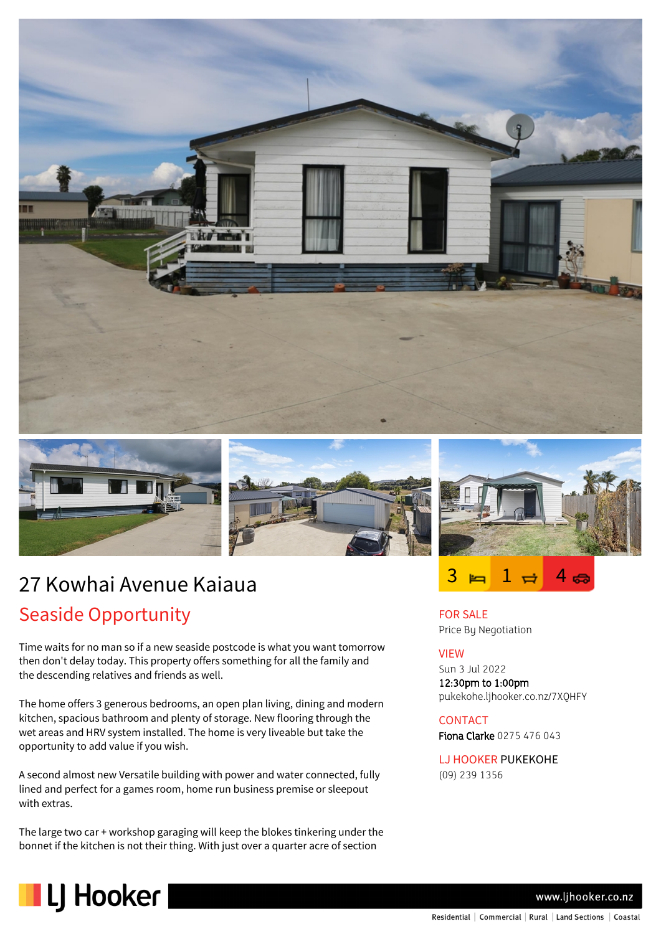





# 27 Kowhai Avenue Kaiaua Seaside Opportunity

Time waits for no man so if a new seaside postcode is what you want tomorrow then don't delay today. This property offers something for all the family and the descending relatives and friends as well.

The home offers 3 generous bedrooms, an open plan living, dining and modern kitchen, spacious bathroom and plenty of storage. New flooring through the wet areas and HRV system installed. The home is very liveable but take the opportunity to add value if you wish.

A second almost new Versatile building with power and water connected, fully lined and perfect for a games room, home run business premise or sleepout with extras.

The large two car + workshop garaging will keep the blokes tinkering under the bonnet if the kitchen is not their thing. With just over a quarter acre of section



ಣ

FOR SALE Price By Negotiation

### VIEW

Sun 3 Jul 2022 12:30pm to 1:00pm pukekohe.ljhooker.co.nz/7XQHFY

### CONTACT

Fiona Clarke 0275 476 043

LJ HOOKER PUKEKOHE (09) 239 1356



www.ljhooker.co.nz